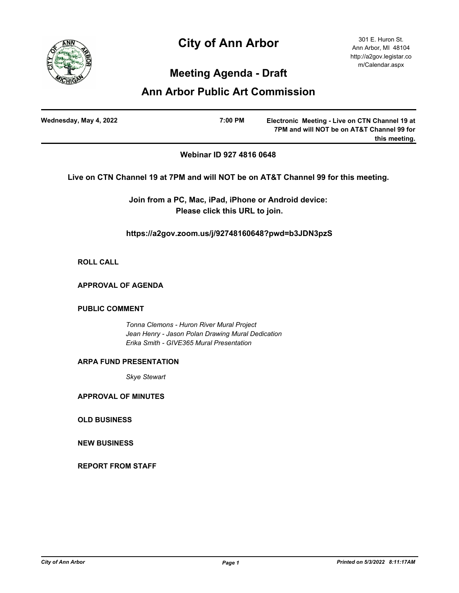# **City of Ann Arbor**



## **Meeting Agenda - Draft**

### **Ann Arbor Public Art Commission**

**Webinar ID 927 4816 0648**

**Live on CTN Channel 19 at 7PM and will NOT be on AT&T Channel 99 for this meeting.** 

**Join from a PC, Mac, iPad, iPhone or Android device: Please click this URL to join.** 

 **https://a2gov.zoom.us/j/92748160648?pwd=b3JDN3pzS**

**ROLL CALL**

**APPROVAL OF AGENDA**

#### **PUBLIC COMMENT**

*Tonna Clemons - Huron River Mural Project Jean Henry - Jason Polan Drawing Mural Dedication Erika Smith - GIVE365 Mural Presentation*

#### **ARPA FUND PRESENTATION**

*Skye Stewart*

**APPROVAL OF MINUTES**

**OLD BUSINESS**

**NEW BUSINESS**

**REPORT FROM STAFF**